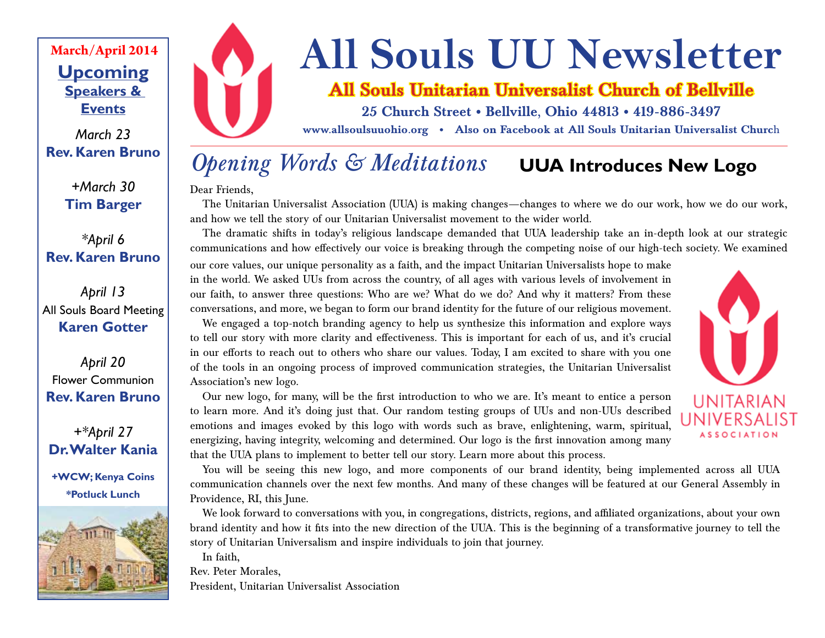## **Upcoming Speakers & Events March/April 2014**

*March 23* **Rev. Karen Bruno**

> *+March 30* **Tim Barger**

*\*April 6* **Rev. Karen Bruno**

*April 13* All Souls Board Meeting **Karen Gotter**

*April 20* Flower Communion **Rev. Karen Bruno**

*+\*April 27* **Dr. Walter Kania**

**+WCW; Kenya Coins \*Potluck Lunch**





# **All Souls UU Newsletter**

## **All Souls Unitarian Universalist Church of Bellville**

**25 Church Street • Bellville, Ohio 44813 • 419-886-3497**

**www.allsoulsuuohio.org • Also on Facebook at All Souls Unitarian Universalist Churc**h

## *Opening Words & Meditations* **UUA Introduces New Logo**

Dear Friends,

The Unitarian Universalist Association (UUA) is making changes—changes to where we do our work, how we do our work, and how we tell the story of our Unitarian Universalist movement to the wider world.

The dramatic shifts in today's religious landscape demanded that UUA leadership take an in-depth look at our strategic communications and how effectively our voice is breaking through the competing noise of our high-tech society. We examined

our core values, our unique personality as a faith, and the impact Unitarian Universalists hope to make in the world. We asked UUs from across the country, of all ages with various levels of involvement in our faith, to answer three questions: Who are we? What do we do? And why it matters? From these conversations, and more, we began to form our brand identity for the future of our religious movement.

We engaged a top-notch branding agency to help us synthesize this information and explore ways to tell our story with more clarity and effectiveness. This is important for each of us, and it's crucial in our efforts to reach out to others who share our values. Today, I am excited to share with you one of the tools in an ongoing process of improved communication strategies, the Unitarian Universalist Association's new logo.



Our new logo, for many, will be the first introduction to who we are. It's meant to entice a person to learn more. And it's doing just that. Our random testing groups of UUs and non-UUs described emotions and images evoked by this logo with words such as brave, enlightening, warm, spiritual, energizing, having integrity, welcoming and determined. Our logo is the first innovation among many that the UUA plans to implement to better tell our story. Learn more about this process.

You will be seeing this new logo, and more components of our brand identity, being implemented across all UUA communication channels over the next few months. And many of these changes will be featured at our General Assembly in Providence, RI, this June.

We look forward to conversations with you, in congregations, districts, regions, and affiliated organizations, about your own brand identity and how it fits into the new direction of the UUA. This is the beginning of a transformative journey to tell the story of Unitarian Universalism and inspire individuals to join that journey.

In faith,

Rev. Peter Morales,

President, Unitarian Universalist Association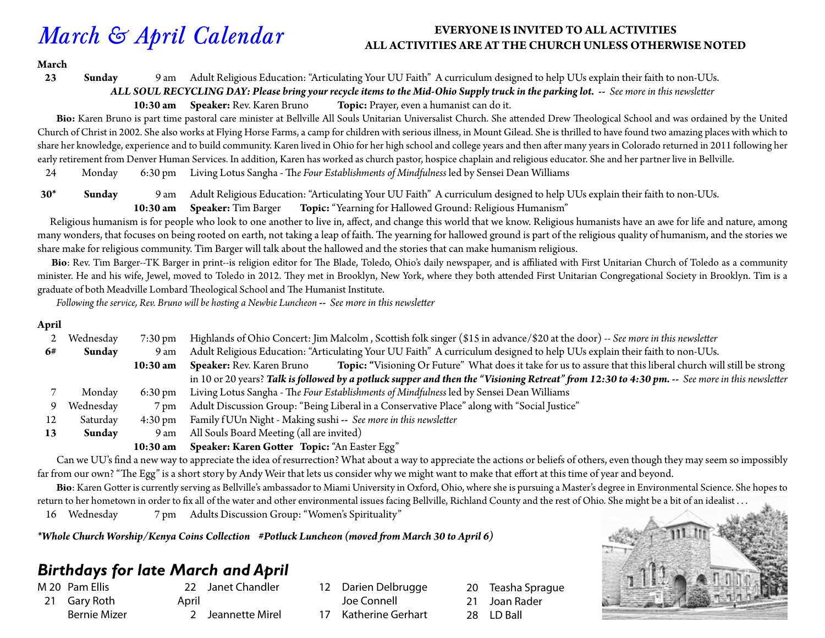## *March & April Calendar*

#### **EVERYONE IS INVITED TO ALL ACTIVITIES ALL ACTIVITIES ARE AT THE CHURCH UNLESS OTHERWISE NOTED**

#### **March**

#### **23 Sunday** 9 am Adult Religious Education: "Articulating Your UU Faith" A curriculum designed to help UUs explain their faith to non-UUs.

*ALL SOUL RECYCLING DAY: Please bring your recycle items to the Mid-Ohio Supply truck in the parking lot. -- See more in this newsletter*

**10:30 am Speaker:** Rev. Karen Bruno **Topic:** Prayer, even a humanist can do it.

 **Bio:** Karen Bruno is part time pastoral care minister at Bellville All Souls Unitarian Universalist Church. She attended Drew Theological School and was ordained by the United Church of Christ in 2002. She also works at Flying Horse Farms, a camp for children with serious illness, in Mount Gilead. She is thrilled to have found two amazing places with which to share her knowledge, experience and to build community. Karen lived in Ohio for her high school and college years and then after many years in Colorado returned in 2011 following her early retirement from Denver Human Services. In addition, Karen has worked as church pastor, hospice chaplain and religious educator. She and her partner live in Bellville.

24 Monday 6:30 pm Living Lotus Sangha - Th*e Four Establishments of Mindfulness* led by Sensei Dean Williams

**30\* Sunday** 9 am Adult Religious Education: "Articulating Your UU Faith" A curriculum designed to help UUs explain their faith to non-UUs.

**10:30 am Speaker:** Tim Barger **Topic:** "Yearning for Hallowed Ground: Religious Humanism"

 Religious humanism is for people who look to one another to live in, affect, and change this world that we know. Religious humanists have an awe for life and nature, among many wonders, that focuses on being rooted on earth, not taking a leap of faith. The yearning for hallowed ground is part of the religious quality of humanism, and the stories we share make for religious community. Tim Barger will talk about the hallowed and the stories that can make humanism religious.

 **Bio**: Rev. Tim Barger--TK Barger in print--is religion editor for The Blade, Toledo, Ohio's daily newspaper, and is affiliated with First Unitarian Church of Toledo as a community minister. He and his wife, Jewel, moved to Toledo in 2012. They met in Brooklyn, New York, where they both attended First Unitarian Congregational Society in Brooklyn. Tim is a graduate of both Meadville Lombard Theological School and The Humanist Institute.

*Following the service, Rev. Bruno will be hosting a Newbie Luncheon* **--** *See more in this newsletter*

#### **April**

|    | Wednesday | $7:30 \,\mathrm{pm}$ | Highlands of Ohio Concert: Jim Malcolm, Scottish folk singer (\$15 in advance/\$20 at the door) -- See more in this newsletter                    |  |  |
|----|-----------|----------------------|---------------------------------------------------------------------------------------------------------------------------------------------------|--|--|
| 6# | Sunday    | 9 am                 | Adult Religious Education: "Articulating Your UU Faith" A curriculum designed to help UUs explain their faith to non-UUs.                         |  |  |
|    |           | $10:30$ am           | Topic: "Visioning Or Future" What does it take for us to assure that this liberal church will still be strong<br><b>Speaker:</b> Rev. Karen Bruno |  |  |
|    |           |                      | in 10 or 20 years? Talk is followed by a potluck supper and then the "Visioning Retreat" from 12:30 to 4:30 pm. -- See more in this newsletter    |  |  |
|    | Monday    | $6:30 \text{ pm}$    | Living Lotus Sangha - The Four Establishments of Mindfulness led by Sensei Dean Williams                                                          |  |  |
|    | Wednesday | 7 pm                 | Adult Discussion Group: "Being Liberal in a Conservative Place" along with "Social Justice"                                                       |  |  |
| 12 | Saturday  | $4:30 \text{ pm}$    | Family fUUn Night - Making sushi -- See more in this newsletter                                                                                   |  |  |
| 13 | Sunday    | 9 am                 | All Souls Board Meeting (all are invited)                                                                                                         |  |  |
|    |           | 10:30 am             | Speaker: Karen Gotter Topic: "An Easter Egg"                                                                                                      |  |  |

 Can we UU's find a new way to appreciate the idea of resurrection? What about a way to appreciate the actions or beliefs of others, even though they may seem so impossibly far from our own? "The Egg" is a short story by Andy Weir that lets us consider why we might want to make that effort at this time of year and beyond.

 **Bio**: Karen Gotter is currently serving as Bellville's ambassador to Miami University in Oxford, Ohio, where she is pursuing a Master's degree in Environmental Science. She hopes to return to her hometown in order to fix all of the water and other environmental issues facing Bellville, Richland County and the rest of Ohio. She might be a bit of an idealist . . .

16 Wednesday 7 pm Adults Discussion Group: "Women's Spirituality"

*\*Whole Church Worship/Kenya Coins Collection #Potluck Luncheon (moved from March 30 to April 6)*

## *Birthdays for late March and April*

M 20 Pam Ellis

- 21 Gary Roth Bernie Mizer
- 22 Janet Chandler April
- 2 Jeannette Mirel
- 12 Darien Delbrugge Joe Connell 17 Katherine Gerhart
- 20 Teasha Sprague 21 Joan Rader 28 LD Ball

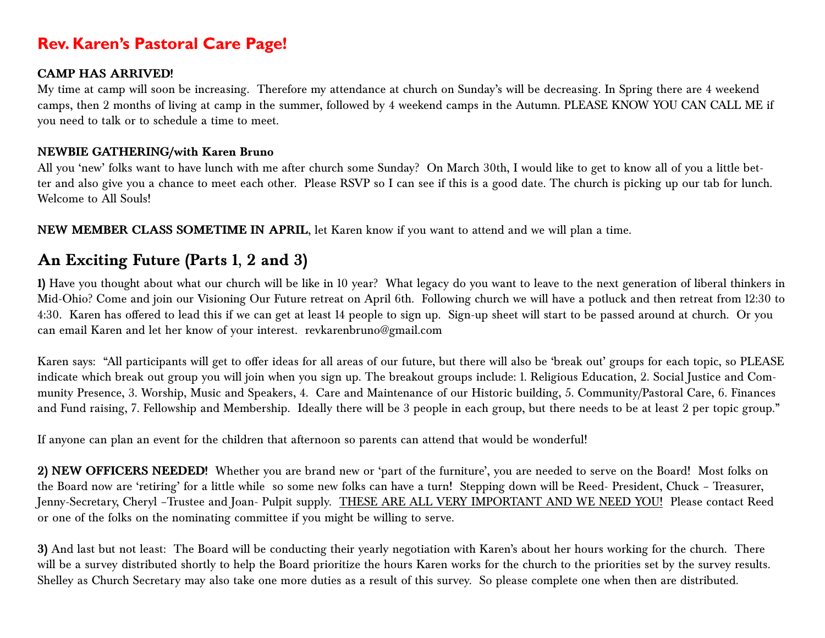### **Rev. Karen's Pastoral Care Page!**

#### **CAMP HAS ARRIVED!**

My time at camp will soon be increasing. Therefore my attendance at church on Sunday's will be decreasing. In Spring there are 4 weekend camps, then 2 months of living at camp in the summer, followed by 4 weekend camps in the Autumn. PLEASE KNOW YOU CAN CALL ME if you need to talk or to schedule a time to meet.

#### **NEWBIE GATHERING/with Karen Bruno**

All you 'new' folks want to have lunch with me after church some Sunday? On March 30th, I would like to get to know all of you a little better and also give you a chance to meet each other. Please RSVP so I can see if this is a good date. The church is picking up our tab for lunch. Welcome to All Souls!

**NEW MEMBER CLASS SOMETIME IN APRIL**, let Karen know if you want to attend and we will plan a time.

## **An Exciting Future (Parts 1, 2 and 3)**

**1)** Have you thought about what our church will be like in 10 year? What legacy do you want to leave to the next generation of liberal thinkers in Mid-Ohio? Come and join our Visioning Our Future retreat on April 6th. Following church we will have a potluck and then retreat from 12:30 to 4:30. Karen has offered to lead this if we can get at least 14 people to sign up. Sign-up sheet will start to be passed around at church. Or you can email Karen and let her know of your interest. revkarenbruno@gmail.com

Karen says: "All participants will get to offer ideas for all areas of our future, but there will also be 'break out' groups for each topic, so PLEASE indicate which break out group you will join when you sign up. The breakout groups include: 1. Religious Education, 2. Social Justice and Community Presence, 3. Worship, Music and Speakers, 4. Care and Maintenance of our Historic building, 5. Community/Pastoral Care, 6. Finances and Fund raising, 7. Fellowship and Membership. Ideally there will be 3 people in each group, but there needs to be at least 2 per topic group."

If anyone can plan an event for the children that afternoon so parents can attend that would be wonderful!

**2) NEW OFFICERS NEEDED!** Whether you are brand new or 'part of the furniture', you are needed to serve on the Board! Most folks on the Board now are 'retiring' for a little while so some new folks can have a turn! Stepping down will be Reed- President, Chuck – Treasurer, Jenny-Secretary, Cheryl -Trustee and Joan- Pulpit supply. THESE ARE ALL VERY IMPORTANT AND WE NEED YOU! Please contact Reed or one of the folks on the nominating committee if you might be willing to serve.

**3)** And last but not least: The Board will be conducting their yearly negotiation with Karen's about her hours working for the church. There will be a survey distributed shortly to help the Board prioritize the hours Karen works for the church to the priorities set by the survey results. Shelley as Church Secretary may also take one more duties as a result of this survey. So please complete one when then are distributed.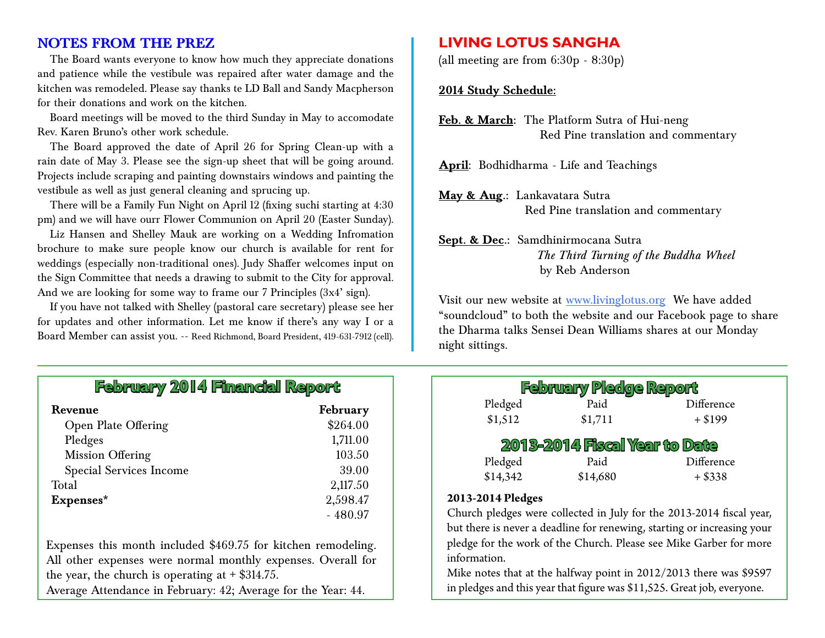#### **NOTES FROM THE PREZ**

The Board wants everyone to know how much they appreciate donations and patience while the vestibule was repaired after water damage and the kitchen was remodeled. Please say thanks te LD Ball and Sandy Macpherson for their donations and work on the kitchen.

Board meetings will be moved to the third Sunday in May to accomodate Rev. Karen Bruno's other work schedule.

The Board approved the date of April 26 for Spring Clean-up with a rain date of May 3. Please see the sign-up sheet that will be going around. Projects include scraping and painting downstairs windows and painting the vestibule as well as just general cleaning and sprucing up.

There will be a Family Fun Night on April 12 (fixing suchi starting at 4:30 pm) and we will have ourr Flower Communion on April 20 (Easter Sunday).

Liz Hansen and Shelley Mauk are working on a Wedding Infromation brochure to make sure people know our church is available for rent for weddings (especially non-traditional ones). Judy Shaffer welcomes input on the Sign Committee that needs a drawing to submit to the City for approval. And we are looking for some way to frame our 7 Principles (3x4' sign).

If you have not talked with Shelley (pastoral care secretary) please see her for updates and other information. Let me know if there's any way I or a Board Member can assist you. -- Reed Richmond, Board President, 419-631-7912 (cell).

## **February 2014 Financial Report**

| Revenue                        | February  |
|--------------------------------|-----------|
| <b>Open Plate Offering</b>     | \$264.00  |
| Pledges                        | 1,711.00  |
| <b>Mission Offering</b>        | 103.50    |
| <b>Special Services Income</b> | 39.00     |
| Total                          | 2,117.50  |
| Expenses*                      | 2,598.47  |
|                                | $-480.97$ |

Expenses this month included \$469.75 for kitchen remodeling. All other expenses were normal monthly expenses. Overall for the year, the church is operating at  $\pm$  \$314.75. Average Attendance in February: 42; Average for the Year: 44.

#### **LIVING LOTUS SANGHA**

(all meeting are from 6:30p - 8:30p)

#### **2014 Study Schedule:**

**Feb. & March:** The Platform Sutra of Hui-neng Red Pine translation and commentary

**April**: Bodhidharma - Life and Teachings

**May & Aug.:** Lankavatara Sutra Red Pine translation and commentary

#### **Sept. & Dec.:** Samdhinirmocana Sutra *The Third Turning of the Buddha Wheel* by Reb Anderson

Visit our new website at www.livinglotus.org We have added "soundcloud" to both the website and our Facebook page to share the Dharma talks Sensei Dean Williams shares at our Monday night sittings.

| <b>February Pledge Report</b>        |          |            |  |  |  |  |  |
|--------------------------------------|----------|------------|--|--|--|--|--|
| Pledged                              | Paid     | Difference |  |  |  |  |  |
| \$1,512                              | \$1,711  | $+ $199$   |  |  |  |  |  |
| <b>2013-2014 Fiscal Year to Date</b> |          |            |  |  |  |  |  |
| Pledged                              | Paid     | Difference |  |  |  |  |  |
| \$14,342                             | \$14,680 | $+ $338$   |  |  |  |  |  |
| 2013-2014 Pledges                    |          |            |  |  |  |  |  |

Church pledges were collected in July for the 2013-2014 fiscal year, but there is never a deadline for renewing, starting or increasing your pledge for the work of the Church. Please see Mike Garber for more information.

Mike notes that at the halfway point in 2012/2013 there was \$9597 in pledges and this year that figure was \$11,525. Great job, everyone.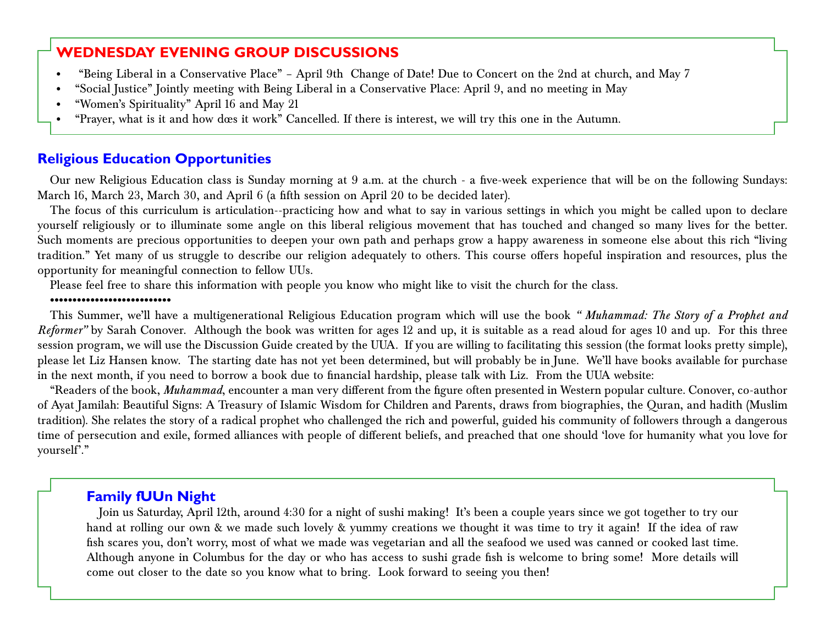#### **WEDNESDAY EVENING GROUP DISCUSSIONS**

- "Being Liberal in a Conservative Place" April 9th Change of Date! Due to Concert on the 2nd at church, and May 7
- • "Social Justice" Jointly meeting with Being Liberal in a Conservative Place: April 9, and no meeting in May
- • "Women's Spirituality" April 16 and May 21
- "Prayer, what is it and how does it work" Cancelled. If there is interest, we will try this one in the Autumn.

#### **Religious Education Opportunities**

Our new Religious Education class is Sunday morning at 9 a.m. at the church - a five-week experience that will be on the following Sundays: March 16, March 23, March 30, and April 6 (a fifth session on April 20 to be decided later).

The focus of this curriculum is articulation--practicing how and what to say in various settings in which you might be called upon to declare yourself religiously or to illuminate some angle on this liberal religious movement that has touched and changed so many lives for the better. Such moments are precious opportunities to deepen your own path and perhaps grow a happy awareness in someone else about this rich "living tradition." Yet many of us struggle to describe our religion adequately to others. This course offers hopeful inspiration and resources, plus the opportunity for meaningful connection to fellow UUs.

Please feel free to share this information with people you know who might like to visit the church for the class.

#### •••••••••••••••••••••••••••

This Summer, we'll have a multigenerational Religious Education program which will use the book *" Muhammad: The Story of a Prophet and Reformer"* by Sarah Conover. Although the book was written for ages 12 and up, it is suitable as a read aloud for ages 10 and up. For this three session program, we will use the Discussion Guide created by the UUA. If you are willing to facilitating this session (the format looks pretty simple), please let Liz Hansen know. The starting date has not yet been determined, but will probably be in June. We'll have books available for purchase in the next month, if you need to borrow a book due to financial hardship, please talk with Liz. From the UUA website:

"Readers of the book, *Muhammad*, encounter a man very different from the figure often presented in Western popular culture. Conover, co-author of Ayat Jamilah: Beautiful Signs: A Treasury of Islamic Wisdom for Children and Parents, draws from biographies, the Quran, and hadith (Muslim tradition). She relates the story of a radical prophet who challenged the rich and powerful, guided his community of followers through a dangerous time of persecution and exile, formed alliances with people of different beliefs, and preached that one should 'love for humanity what you love for yourself'."

#### **Family fUUn Night**

Join us Saturday, April 12th, around 4:30 for a night of sushi making! It's been a couple years since we got together to try our hand at rolling our own & we made such lovely & yummy creations we thought it was time to try it again! If the idea of raw fish scares you, don't worry, most of what we made was vegetarian and all the seafood we used was canned or cooked last time. Although anyone in Columbus for the day or who has access to sushi grade fish is welcome to bring some! More details will come out closer to the date so you know what to bring. Look forward to seeing you then!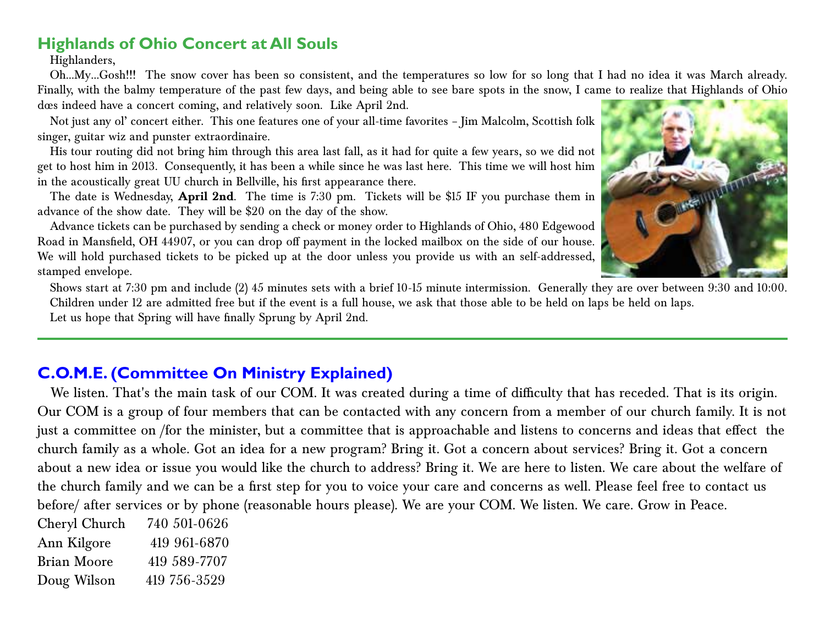### **Highlands of Ohio Concert at All Souls**

Highlanders,

Oh…My…Gosh!!! The snow cover has been so consistent, and the temperatures so low for so long that I had no idea it was March already. Finally, with the balmy temperature of the past few days, and being able to see bare spots in the snow, I came to realize that Highlands of Ohio dœs indeed have a concert coming, and relatively soon. Like April 2nd.

Not just any ol' concert either. This one features one of your all-time favorites – Jim Malcolm, Scottish folk singer, guitar wiz and punster extraordinaire.

His tour routing did not bring him through this area last fall, as it had for quite a few years, so we did not get to host him in 2013. Consequently, it has been a while since he was last here. This time we will host him in the acoustically great UU church in Bellville, his first appearance there.

The date is Wednesday, **April 2nd**. The time is 7:30 pm. Tickets will be \$15 IF you purchase them in advance of the show date. They will be \$20 on the day of the show.

Advance tickets can be purchased by sending a check or money order to Highlands of Ohio, 480 Edgewood Road in Mansfield, OH 44907, or you can drop off payment in the locked mailbox on the side of our house. We will hold purchased tickets to be picked up at the door unless you provide us with an self-addressed, stamped envelope.

Shows start at 7:30 pm and include (2) 45 minutes sets with a brief 10-15 minute intermission. Generally they are over between 9:30 and 10:00. Children under 12 are admitted free but if the event is a full house, we ask that those able to be held on laps be held on laps.

Let us hope that Spring will have finally Sprung by April 2nd.

## **C.O.M.E. (Committee On Ministry Explained)**

 We listen. That's the main task of our COM. It was created during a time of difficulty that has receded. That is its origin. Our COM is a group of four members that can be contacted with any concern from a member of our church family. It is not just a committee on /for the minister, but a committee that is approachable and listens to concerns and ideas that effect the church family as a whole. Got an idea for a new program? Bring it. Got a concern about services? Bring it. Got a concern about a new idea or issue you would like the church to address? Bring it. We are here to listen. We care about the welfare of the church family and we can be a first step for you to voice your care and concerns as well. Please feel free to contact us before/ after services or by phone (reasonable hours please). We are your COM. We listen. We care. Grow in Peace.

| Cheryl Church | 740 501-0626 |
|---------------|--------------|
| Ann Kilgore   | 419 961-6870 |
| Brian Moore   | 419 589-7707 |
| Doug Wilson   | 419 756-3529 |

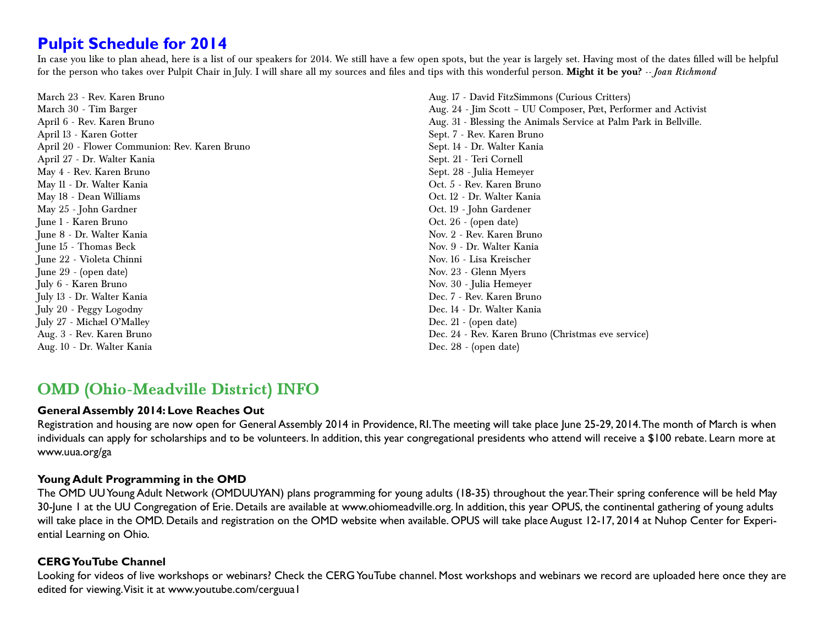### **Pulpit Schedule for 2014**

In case you like to plan ahead, here is a list of our speakers for 2014. We still have a few open spots, but the year is largely set. Having most of the dates filled will be helpful for the person who takes over Pulpit Chair in July. I will share all my sources and files and tips with this wonderful person. **Might it be you?** *-- Joan Richmond*

March 23 - Rev. Karen Bruno March 30 - Tim Barger April 6 - Rev. Karen Bruno April 13 - Karen Gotter April 20 - Flower Communion: Rev. Karen Bruno April 27 - Dr. Walter Kania May 4 - Rev. Karen Bruno May 11 - Dr. Walter Kania May 18 - Dean Williams May 25 - John Gardner June 1 - Karen Bruno June 8 - Dr. Walter Kania June 15 - Thomas Beck June 22 - Violeta Chinni June 29 - (open date) July 6 - Karen Bruno July 13 - Dr. Walter Kania July 20 - Peggy Logodny July 27 - Michael O'Malley Aug. 3 - Rev. Karen Bruno Aug. 10 - Dr. Walter Kania

Aug. 17 - David FitzSimmons (Curious Critters) Aug. 24 - Jim Scott – UU Composer, Poet, Performer and Activist Aug. 31 - Blessing the Animals Service at Palm Park in Bellville. Sept. 7 - Rev. Karen Bruno Sept. 14 - Dr. Walter Kania Sept. 21 - Teri Cornell Sept. 28 - Julia Hemeyer Oct. 5 - Rev. Karen Bruno Oct. 12 - Dr. Walter Kania Oct. 19 - John Gardener Oct. 26 - (open date) Nov. 2 - Rev. Karen Bruno Nov. 9 - Dr. Walter Kania Nov. 16 - Lisa Kreischer Nov. 23 - Glenn Myers Nov. 30 - Julia Hemeyer Dec. 7 - Rev. Karen Bruno Dec. 14 - Dr. Walter Kania Dec. 21 - (open date) Dec. 24 - Rev. Karen Bruno (Christmas eve service) Dec. 28 - (open date)

### **OMD (Ohio-Meadville District) INFO**

#### **General Assembly 2014: Love Reaches Out**

Registration and housing are now open for General Assembly 2014 in Providence, RI. The meeting will take place June 25-29, 2014. The month of March is when individuals can apply for scholarships and to be volunteers. In addition, this year congregational presidents who attend will receive a \$100 rebate. Learn more at www.uua.org/ga

#### **Young Adult Programming in the OMD**

The OMD UU Young Adult Network (OMDUUYAN) plans programming for young adults (18-35) throughout the year. Their spring conference will be held May 30-June 1 at the UU Congregation of Erie. Details are available at www.ohiomeadville.org. In addition, this year OPUS, the continental gathering of young adults will take place in the OMD. Details and registration on the OMD website when available. OPUS will take place August 12-17, 2014 at Nuhop Center for Experiential Learning on Ohio.

#### **CERG YouTube Channel**

Looking for videos of live workshops or webinars? Check the CERG YouTube channel. Most workshops and webinars we record are uploaded here once they are edited for viewing. Visit it at www.youtube.com/cerguua1